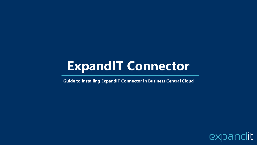# **ExpandIT Connector**

**Guide to installing ExpandIT Connector in Business Central Cloud**

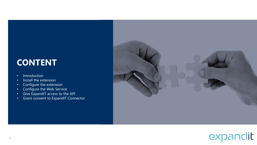### **CONTENT**

- Introduction
- Install the extension
- Configure the extension
- Configure the Web Service
- Give ExpandIT access to the API
- Grant consent to ExpandIT Connector



## expandit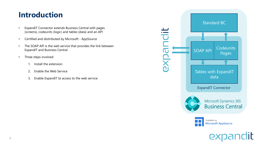### **Introduction**

- ExpandIT Connector extends Business Central with pages (screens), codeunits (logic) and tables (data) and an API
- Certified and disitributed by Microsoft AppSource
- The SOAP API is the web service that provides the link between ExpandIT and Business Central
- Three steps involved
	- 1. Install the extension
	- 2. Enable the Web Service
	- 3. Enable ExpandIT to access to the web service

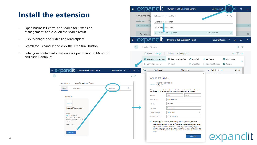### **Install the extension**

- Open Business Central and search for 'Extension Management' and click on the search result
- Click 'Manage' and 'Extension Marketplace'

 $\leftarrow$ 

- Search for 'ExpandIT' and click the 'Free trial' button
- Enter your contact information, give permission to Microsoft and click 'Continue'

AppSource Apps

All results

expandit

ExpandIT **C** Business Central **ExpandIT Field Service fully integra** with Microsoft Dynamics 365 Bu

Central  $\star$  4.5 (2 ratings)

Free trial

**ExpandIT Connector** 

**EXPANDIL** Dynamics 365 Business Central

Other apps  $\vee$ 

Apps for Business Central

| ₩                                                       | expand                                                                                                                                                             | <b>Dynamics 365 Business Central</b>                                                                                                                                                                                                                                                                                                                                                                                                                               |                          | Documentation                   | م                    | $\Omega$                  | తి             | っ |
|---------------------------------------------------------|--------------------------------------------------------------------------------------------------------------------------------------------------------------------|--------------------------------------------------------------------------------------------------------------------------------------------------------------------------------------------------------------------------------------------------------------------------------------------------------------------------------------------------------------------------------------------------------------------------------------------------------------------|--------------------------|---------------------------------|----------------------|---------------------------|----------------|---|
|                                                         | <b>CRONUS USA</b>                                                                                                                                                  | Tell me what you want to do                                                                                                                                                                                                                                                                                                                                                                                                                                        |                          |                                 | $\mathbb{Z}^n\times$ |                           |                |   |
| <b>Customers</b>                                        | Ve<br><b>Extension Management</b>                                                                                                                                  |                                                                                                                                                                                                                                                                                                                                                                                                                                                                    |                          |                                 |                      |                           |                |   |
|                                                         | This is a sand<br>Go to Pag                                                                                                                                        | and Tasks                                                                                                                                                                                                                                                                                                                                                                                                                                                          |                          |                                 |                      |                           |                |   |
|                                                         | <b>Get started</b>                                                                                                                                                 | <b>Extension Management</b>                                                                                                                                                                                                                                                                                                                                                                                                                                        |                          | Administration                  | $\Box$               |                           |                |   |
| ▦                                                       |                                                                                                                                                                    | <b>Dynamics 365 Business Central</b>                                                                                                                                                                                                                                                                                                                                                                                                                               |                          | Documentation $\varphi$         |                      | $\Omega$                  | భ్రి           | ? |
|                                                         | Installed Extensions                                                                                                                                               |                                                                                                                                                                                                                                                                                                                                                                                                                                                                    |                          |                                 |                      | Π                         | 昏              |   |
|                                                         | $\circ$ Search<br>Manage                                                                                                                                           | Fewer options<br>Actions                                                                                                                                                                                                                                                                                                                                                                                                                                           |                          |                                 |                      | $\overrightarrow{R}$<br>Y | 這              |   |
|                                                         | Extension Marketplace                                                                                                                                              | Q Deployment Status                                                                                                                                                                                                                                                                                                                                                                                                                                                | X Uninstall              | <b>R</b> <sup>*</sup> Configure | <b>D</b> Learn More  |                           |                |   |
|                                                         | ी Upload Extension                                                                                                                                                 | $\mathbb{H}^*$ Install                                                                                                                                                                                                                                                                                                                                                                                                                                             | X Unpublish              | Download Source                 | <b>B</b> Refresh     |                           | $\overline{a}$ |   |
| Documentation $\varphi$<br>$\hbox{\large\it Q}$<br>త్రి | Yes<br><b>Application</b>                                                                                                                                          | Microsoft                                                                                                                                                                                                                                                                                                                                                                                                                                                          |                          | v. 19.3.34541.35210             |                      | Global                    |                |   |
| $\Box$ $\Box$<br>Q<br>ExpandIT                          | One more thing<br><b>ExpandIT Connector</b><br>expandit<br>By ExpandIT<br>Name $*$<br>Work email *<br>Job title<br>Company<br>Country / region *<br>Phone number * | This app requires some basic profile information. We have pulled your Microsoft Account<br>data to help you get started. AppSource will save your information for next time.<br>Your<br>Name<br>your@email.com<br>Your Title<br>Your company<br><b>United States</b><br>+1 234 5678 9012<br>I give Microsoft permission to use or share my account information so that the<br>provider or Microsoft can contact me regarding this product and related products and | $\times$<br>$\checkmark$ |                                 |                      |                           |                |   |
|                                                         | privacy.                                                                                                                                                           | Microsoft may share contact, usage, and transactional information for support, billing,<br>and other transactional activities. I agree to the provider's terms of use and privacy<br>policy and understand that the rights to use this product do not come from Microsoft,<br>unless Microsoft is the provider. Use of AppSource is governed by separate terms and                                                                                                 | Continue                 | expandit                        |                      |                           |                |   |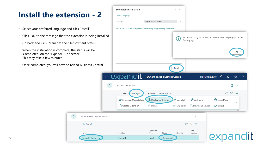### **Install the extension - 2**

- Select your preferred language and click 'Install'
- Click 'OK' to the message that the extension is being installed
- Go back and click 'Manage' and 'Deployment Status'
- When the installation is complete, the status will be 'Completed' on the 'ExpandIT Connector' This may take a few minutes
- Once completed, you will have to reload Business Central

 $\leftarrow$ 

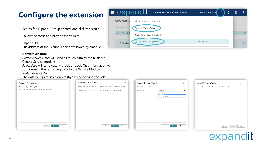### **Configure the extension**

- Search for 'ExpandIT Setup Wizard' and click the result
- Follow the steps and provide the values:

#### • **ExpandIT URL**

The address of the ExpandIT server followed by /mobile

### • **Conversion Rule**

*Prefer Service Order* will send as much data to the Business Central Service module

*Prefer Jobs* will send data with Job and Job Task information to

Job Journals, the remaining data to the Service Module

*Prefer Sales Order*

The data will go to sales orders (bypassing Service and Jobs)

| <b>ExpandIT Setup Wizard</b><br>Welcome to ExpandIT Setup Wizard<br>Set ExpandIT URL and Conversion Rule up with this wizard. | $\swarrow \times$ | ZΧ<br><b>ExpandIT Setup Wizard</b><br>Specify ExpandIT URL that is used for Remote Shop URL and Portal/Local Shop URL.<br>https://xxxx.expandit365.com/mobile<br>ExpandIT URL | ∠ ×<br><b>ExpandIT Setup Wizard</b><br>Select a Conversion Rule<br>Conversion Rule  Prefer Jobs<br>Prefer Service Order<br>Prefer Jobs<br>Prefer Sales Order | $\swarrow \times$<br><b>ExpandIT Setup Wizard</b><br>The wizard is now finished. Please press "Finish" to save the information |
|-------------------------------------------------------------------------------------------------------------------------------|-------------------|-------------------------------------------------------------------------------------------------------------------------------------------------------------------------------|--------------------------------------------------------------------------------------------------------------------------------------------------------------|--------------------------------------------------------------------------------------------------------------------------------|
| Back<br><b>Next</b>                                                                                                           | Finish            | Finish<br><b>Next</b><br>Back                                                                                                                                                 | Finish<br><b>Next</b><br>Back                                                                                                                                | Finish<br>Back<br>Next                                                                                                         |

| expandit<br>m.                                      | <b>Dynamics 365 Business Central</b> | Documentation | Ω<br>$\Omega$ | <b>છે</b> | ?            |
|-----------------------------------------------------|--------------------------------------|---------------|---------------|-----------|--------------|
| <b>CRONUS U</b><br>Tell me what you want to do      |                                      |               | ∠ ×           |           |              |
| Customers<br>ExpandIT Setup Wizard                  |                                      |               |               |           |              |
| $\times$ This is a sa<br>Go to Reports and Analysis |                                      |               |               |           | $\checkmark$ |
| <b>ExpandIT Setup Wizard</b><br>囯<br>Get start      |                                      | Documents     |               |           |              |
| $\sim$ $\sim$ $\sim$                                |                                      |               |               |           |              |

**EXC**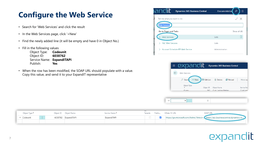### **Configure the Web Service**

- Search for 'Web Services' and click the result
- In the Web Services page, click '+New'
- Find the newly added line (it will be empty and have 0 in Object No.)
- Fill in the following values

Object Type: **Codeunit** Object ID: **6038762** Service Name: **ExpandITAPI** Publish: **Yes**

• When the row has been modified, the SOAP URL should populate with a value. Copy this value, and send it to your ExpandIT representative

| iandit.                          | <b>Dynamics 365 Business Central</b> | <b>Documentation</b> | $\bullet$<br>∩ |
|----------------------------------|--------------------------------------|----------------------|----------------|
| Tell me what you want to do      |                                      |                      | $\times$       |
| <b>Neb Services</b>              |                                      |                      |                |
| Go to Pages and Tasks            |                                      |                      | Show all (4)   |
| <b>Web Services</b>              |                                      | Lists                |                |
| <b>PAC Web Services</b>          |                                      | Lists                |                |
| Account Schedule KPI Web Service |                                      | Administration       |                |

| expandit<br>▦         |           | <b>Dynamics 365 Business Central</b> |                 |              |
|-----------------------|-----------|--------------------------------------|-----------------|--------------|
| Web Services          |           |                                      |                 |              |
| $+$ New<br>$O$ Search | Edit List | lii Delete                           | <b>B</b> Reload | More op      |
| Object Type<br>个      | Object ID | Object Name                          |                 | Service Nail |
| Ouen                  | 262.      | Cust, Ledger Entries                 |                 | Cust Ladd    |



| Object Type 1 |  | Object ID Object Name | Service Name 1 |  | Tenants Publis OData V4 URL<br>SUAP UI                          |
|---------------|--|-----------------------|----------------|--|-----------------------------------------------------------------|
| Codeunit      |  | 6038762 ExpandITAPI   | xpandITAPI     |  | https://go.microsoft.com/fwlink/?linkid=. https://api.businesso |
|               |  |                       |                |  |                                                                 |

### it exp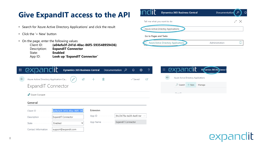#### **Dynamics 365 Business Central Documentation** م **Give ExpandIT access to the API** Tell me what you want to do ∠ × • Search for 'Azure Active Directory Applications' and click the result Azure Active Directoy Applications • Click the '+ New' button Go to Pages and Tasks • On the page, enter the following values Azure Active Directory Applications Д Administration Client ID: **{a04efa3f-241d-40ac-86f5-593548959436}** Description: **ExpandIT Connector** State: **Enabled** App ID: **Look up 'ExpandIT Connector'**曲 (၁ **Dynamics 365 Business Central** m expandi D'inamics 365 Business C Documentation  $\varphi$ ශ Q Azure Active Directory Applications Azure Active Directory Application Ca... Ĥ ।⇔  $\checkmark$  Saved 尾 ExpandIT Connector  $\circ$  Search  $+$  New Manage  $C$ East ID & Grant Consent General {a04efa3f-241d-40ac-86f5-59} Extension Client ID .......... {9c23b78a-ba38-4ad0-be! App ID . . . . . . . . . . . . ExpandIT Connector Description ........ App Name ......... ExpandIT Connector State . . . . . . . . . . . . . . Enabled Contact Information support@expandit.com

## expal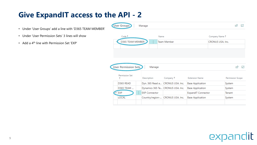### **Give ExpandIT access to the API - 2**

- Under 'User Groups' add a line with 'D365 TEAM MEMBER'
- Under 'User Permission Sets' 3 lines will show
- Add a 4th line with Permission Set 'EXP'



### **dit** expan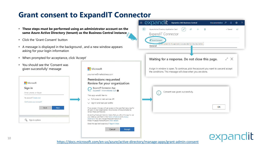### **Grant consent to ExpandIT Connector**

- **These steps must be performed using an administrator account on the same Azure Active Directory (tenant) as the Business Central instance**
- Click the 'Grant Consent' button
- A message is displayed in the background , and a new window appears asking for your login information
- When prompted for acceptance, click 'Accept'
- You should see the 'Consent was given successfully' message

| Microsoft                  |      |             |  |
|----------------------------|------|-------------|--|
| Sign in                    |      |             |  |
| Email, phone, or Skype     |      |             |  |
| No account? Create one!    |      |             |  |
| Can't access your account? |      |             |  |
|                            | Back | <b>Next</b> |  |
|                            |      |             |  |
|                            |      |             |  |



|                            | expandit<br>m<br><b>Dynamics 365 Business Central</b><br>Documentation <sub>2</sub><br>$\Omega$<br>හූ<br>?                                       |
|----------------------------|--------------------------------------------------------------------------------------------------------------------------------------------------|
| е<br>$\mathbf{S}^{\prime}$ | Azure Active Directory Application Card<br>Ĥ<br>IŘ<br>$\checkmark$ Saved<br>ビ<br>ExpandIT Connector                                              |
|                            | Grant Consent<br>orant consent for this application to access data from Business Central.<br>General                                             |
|                            | Waiting for a response. Do not close this page.<br>∠ Χ                                                                                           |
|                            | A sign in window is open. To continue, pick the account you want to use and accept<br>the conditions. This message will close when you are done. |
| οn                         | Consent was given successfully.                                                                                                                  |
| sources for<br>pted to     | OK                                                                                                                                               |
| app to use<br>ıсу          |                                                                                                                                                  |

## expa

<https://docs.microsoft.com/en-us/azure/active-directory/manage-apps/grant-admin-consent>